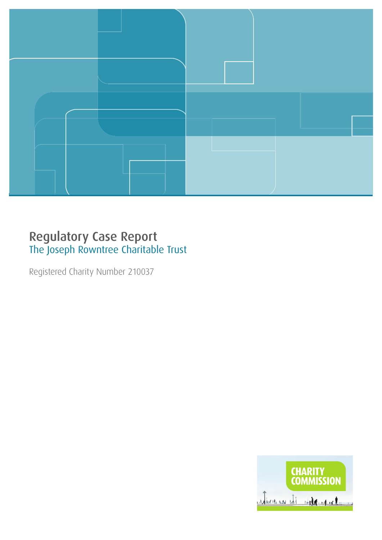

### Regulatory Case Report The Joseph Rowntree Charitable Trust

Registered Charity Number 210037

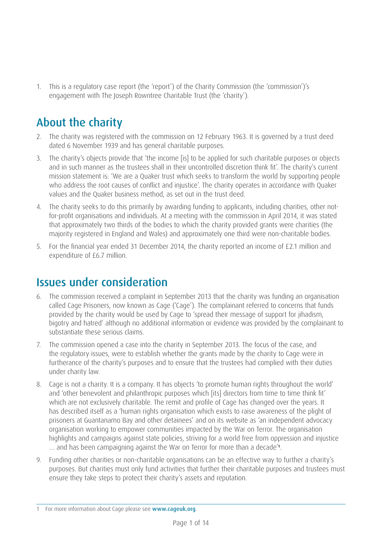1. This is a regulatory case report (the 'report') of the Charity Commission (the 'commission')'s engagement with The Joseph Rowntree Charitable Trust (the 'charity').

# About the charity

- 2. The charity was registered with the commission on 12 February 1963. It is governed by a trust deed dated 6 November 1939 and has general charitable purposes.
- 3. The charity's objects provide that 'the income [is] to be applied for such charitable purposes or objects and in such manner as the trustees shall in their uncontrolled discretion think fit'. The charity's current mission statement is: 'We are a Quaker trust which seeks to transform the world by supporting people who address the root causes of conflict and injustice'. The charity operates in accordance with Quaker values and the Quaker business method, as set out in the trust deed.
- 4. The charity seeks to do this primarily by awarding funding to applicants, including charities, other notfor-profit organisations and individuals. At a meeting with the commission in April 2014, it was stated that approximately two thirds of the bodies to which the charity provided grants were charities (the majority registered in England and Wales) and approximately one third were non-charitable bodies.
- 5. For the financial year ended 31 December 2014, the charity reported an income of £2.1 million and expenditure of £6.7 million.

# Issues under consideration

- 6. The commission received a complaint in September 2013 that the charity was funding an organisation called Cage Prisoners, now known as Cage ('Cage'). The complainant referred to concerns that funds provided by the charity would be used by Cage to 'spread their message of support for jihadism, bigotry and hatred' although no additional information or evidence was provided by the complainant to substantiate these serious claims.
- 7. The commission opened a case into the charity in September 2013. The focus of the case, and the regulatory issues, were to establish whether the grants made by the charity to Cage were in furtherance of the charity's purposes and to ensure that the trustees had complied with their duties under charity law.
- 8. Cage is not a charity. It is a company. It has objects 'to promote human rights throughout the world' and 'other benevolent and philanthropic purposes which [its] directors from time to time think fit' which are not exclusively charitable. The remit and profile of Cage has changed over the years. It has described itself as a 'human rights organisation which exists to raise awareness of the plight of prisoners at Guantanamo Bay and other detainees' and on its website as 'an independent advocacy organisation working to empower communities impacted by the War on Terror. The organisation highlights and campaigns against state policies, striving for a world free from oppression and injustice … and has been campaigning against the War on Terror for more than a decade'**1**.
- 9. Funding other charities or non-charitable organisations can be an effective way to further a charity's purposes. But charities must only fund activities that further their charitable purposes and trustees must ensure they take steps to protect their charity's assets and reputation.

<sup>1</sup> For more information about Cage please see [www.cageuk.org](http://www.cageuk.org).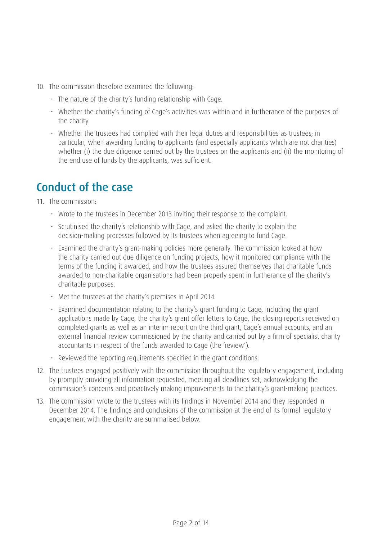- 10. The commission therefore examined the following:
	- The nature of the charity's funding relationship with Cage.
	- Whether the charity's funding of Cage's activities was within and in furtherance of the purposes of the charity.
	- Whether the trustees had complied with their legal duties and responsibilities as trustees; in particular, when awarding funding to applicants (and especially applicants which are not charities) whether (i) the due diligence carried out by the trustees on the applicants and (ii) the monitoring of the end use of funds by the applicants, was sufficient.

### Conduct of the case

11. The commission:

- Wrote to the trustees in December 2013 inviting their response to the complaint.
- Scrutinised the charity's relationship with Cage, and asked the charity to explain the decision-making processes followed by its trustees when agreeing to fund Cage.
- Examined the charity's grant-making policies more generally. The commission looked at how the charity carried out due diligence on funding projects, how it monitored compliance with the terms of the funding it awarded, and how the trustees assured themselves that charitable funds awarded to non-charitable organisations had been properly spent in furtherance of the charity's charitable purposes.
- Met the trustees at the charity's premises in April 2014.
- Examined documentation relating to the charity's grant funding to Cage, including the grant applications made by Cage, the charity's grant offer letters to Cage, the closing reports received on completed grants as well as an interim report on the third grant, Cage's annual accounts, and an external financial review commissioned by the charity and carried out by a firm of specialist charity accountants in respect of the funds awarded to Cage (the 'review').
- Reviewed the reporting requirements specified in the grant conditions.
- 12. The trustees engaged positively with the commission throughout the regulatory engagement, including by promptly providing all information requested, meeting all deadlines set, acknowledging the commission's concerns and proactively making improvements to the charity's grant-making practices.
- 13. The commission wrote to the trustees with its findings in November 2014 and they responded in December 2014. The findings and conclusions of the commission at the end of its formal regulatory engagement with the charity are summarised below.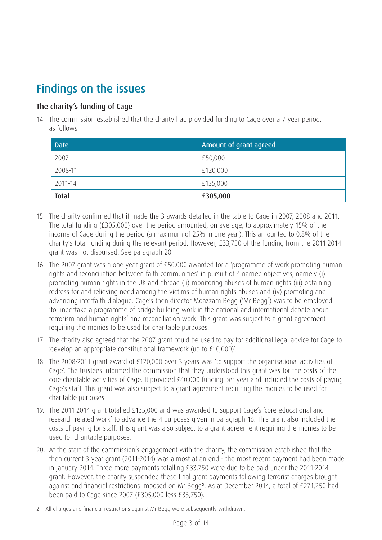# Findings on the issues

### The charity's funding of Cage

14. The commission established that the charity had provided funding to Cage over a 7 year period, as follows:

| <b>Date</b>  | Amount of grant agreed |
|--------------|------------------------|
| 2007         | £50,000                |
| 2008-11      | £120,000               |
| 2011-14      | £135,000               |
| <b>Total</b> | £305,000               |

- 15. The charity confirmed that it made the 3 awards detailed in the table to Cage in 2007, 2008 and 2011. The total funding (£305,000) over the period amounted, on average, to approximately 15% of the income of Cage during the period (a maximum of 25% in one year). This amounted to 0.8% of the charity's total funding during the relevant period. However, £33,750 of the funding from the 2011-2014 grant was not disbursed. See paragraph 20.
- 16. The 2007 grant was a one year grant of £50,000 awarded for a 'programme of work promoting human rights and reconciliation between faith communities' in pursuit of 4 named objectives, namely (i) promoting human rights in the UK and abroad (ii) monitoring abuses of human rights (iii) obtaining redress for and relieving need among the victims of human rights abuses and (iv) promoting and advancing interfaith dialogue. Cage's then director Moazzam Begg ('Mr Begg') was to be employed 'to undertake a programme of bridge building work in the national and international debate about terrorism and human rights' and reconciliation work. This grant was subject to a grant agreement requiring the monies to be used for charitable purposes.
- 17. The charity also agreed that the 2007 grant could be used to pay for additional legal advice for Cage to 'develop an appropriate constitutional framework (up to £10,000)'.
- 18. The 2008-2011 grant award of £120,000 over 3 years was 'to support the organisational activities of Cage'. The trustees informed the commission that they understood this grant was for the costs of the core charitable activities of Cage. It provided £40,000 funding per year and included the costs of paying Cage's staff. This grant was also subject to a grant agreement requiring the monies to be used for charitable purposes.
- 19. The 2011-2014 grant totalled £135,000 and was awarded to support Cage's 'core educational and research related work' to advance the 4 purposes given in paragraph 16. This grant also included the costs of paying for staff. This grant was also subject to a grant agreement requiring the monies to be used for charitable purposes.
- 20. At the start of the commission's engagement with the charity, the commission established that the then current 3 year grant (2011-2014) was almost at an end - the most recent payment had been made in January 2014. Three more payments totalling £33,750 were due to be paid under the 2011-2014 grant. However, the charity suspended these final grant payments following terrorist charges brought against and financial restrictions imposed on Mr Begg**2**. As at December 2014, a total of £271,250 had been paid to Cage since 2007 (£305,000 less £33,750).

<sup>2</sup> All charges and financial restrictions against Mr Begg were subsequently withdrawn.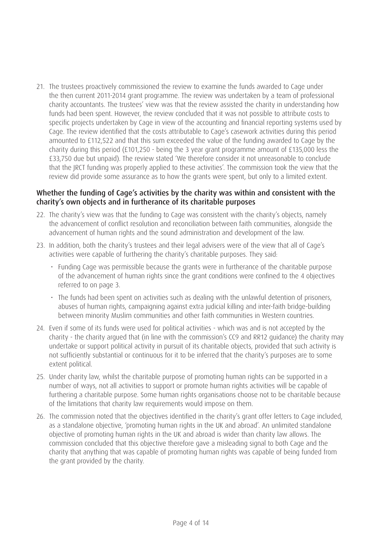21. The trustees proactively commissioned the review to examine the funds awarded to Cage under the then current 2011-2014 grant programme. The review was undertaken by a team of professional charity accountants. The trustees' view was that the review assisted the charity in understanding how funds had been spent. However, the review concluded that it was not possible to attribute costs to specific projects undertaken by Cage in view of the accounting and financial reporting systems used by Cage. The review identified that the costs attributable to Cage's casework activities during this period amounted to £112,522 and that this sum exceeded the value of the funding awarded to Cage by the charity during this period (£101,250 - being the 3 year grant programme amount of £135,000 less the £33,750 due but unpaid). The review stated 'We therefore consider it not unreasonable to conclude that the JRCT funding was properly applied to these activities'. The commission took the view that the review did provide some assurance as to how the grants were spent, but only to a limited extent.

#### Whether the funding of Cage's activities by the charity was within and consistent with the charity's own objects and in furtherance of its charitable purposes

- 22. The charity's view was that the funding to Cage was consistent with the charity's objects, namely the advancement of conflict resolution and reconciliation between faith communities, alongside the advancement of human rights and the sound administration and development of the law.
- 23. In addition, both the charity's trustees and their legal advisers were of the view that all of Cage's activities were capable of furthering the charity's charitable purposes. They said:
	- Funding Cage was permissible because the grants were in furtherance of the charitable purpose of the advancement of human rights since the grant conditions were confined to the 4 objectives referred to on page 3.
	- The funds had been spent on activities such as dealing with the unlawful detention of prisoners, abuses of human rights, campaigning against extra judicial killing and inter-faith bridge-building between minority Muslim communities and other faith communities in Western countries.
- 24. Even if some of its funds were used for political activities which was and is not accepted by the charity - the charity argued that (in line with the commission's CC9 and RR12 guidance) the charity may undertake or support political activity in pursuit of its charitable objects, provided that such activity is not sufficiently substantial or continuous for it to be inferred that the charity's purposes are to some extent political.
- 25. Under charity law, whilst the charitable purpose of promoting human rights can be supported in a number of ways, not all activities to support or promote human rights activities will be capable of furthering a charitable purpose. Some human rights organisations choose not to be charitable because of the limitations that charity law requirements would impose on them.
- 26. The commission noted that the objectives identified in the charity's grant offer letters to Cage included, as a standalone objective, 'promoting human rights in the UK and abroad'. An unlimited standalone objective of promoting human rights in the UK and abroad is wider than charity law allows. The commission concluded that this objective therefore gave a misleading signal to both Cage and the charity that anything that was capable of promoting human rights was capable of being funded from the grant provided by the charity.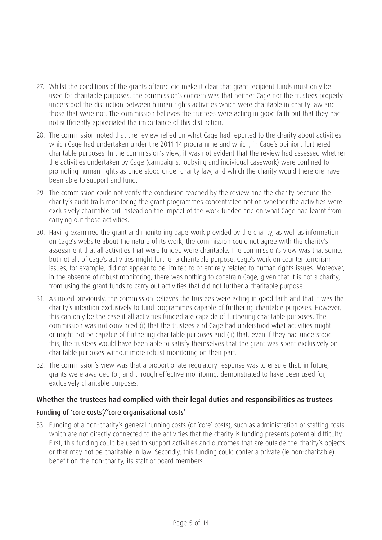- 27. Whilst the conditions of the grants offered did make it clear that grant recipient funds must only be used for charitable purposes, the commission's concern was that neither Cage nor the trustees properly understood the distinction between human rights activities which were charitable in charity law and those that were not. The commission believes the trustees were acting in good faith but that they had not sufficiently appreciated the importance of this distinction.
- 28. The commission noted that the review relied on what Cage had reported to the charity about activities which Cage had undertaken under the 2011-14 programme and which, in Cage's opinion, furthered charitable purposes. In the commission's view, it was not evident that the review had assessed whether the activities undertaken by Cage (campaigns, lobbying and individual casework) were confined to promoting human rights as understood under charity law, and which the charity would therefore have been able to support and fund.
- 29. The commission could not verify the conclusion reached by the review and the charity because the charity's audit trails monitoring the grant programmes concentrated not on whether the activities were exclusively charitable but instead on the impact of the work funded and on what Cage had learnt from carrying out those activities.
- 30. Having examined the grant and monitoring paperwork provided by the charity, as well as information on Cage's website about the nature of its work, the commission could not agree with the charity's assessment that all activities that were funded were charitable. The commission's view was that some, but not all, of Cage's activities might further a charitable purpose. Cage's work on counter terrorism issues, for example, did not appear to be limited to or entirely related to human rights issues. Moreover, in the absence of robust monitoring, there was nothing to constrain Cage, given that it is not a charity, from using the grant funds to carry out activities that did not further a charitable purpose.
- 31. As noted previously, the commission believes the trustees were acting in good faith and that it was the charity's intention exclusively to fund programmes capable of furthering charitable purposes. However, this can only be the case if all activities funded are capable of furthering charitable purposes. The commission was not convinced (i) that the trustees and Cage had understood what activities might or might not be capable of furthering charitable purposes and (ii) that, even if they had understood this, the trustees would have been able to satisfy themselves that the grant was spent exclusively on charitable purposes without more robust monitoring on their part.
- 32. The commission's view was that a proportionate regulatory response was to ensure that, in future, grants were awarded for, and through effective monitoring, demonstrated to have been used for, exclusively charitable purposes.

### Whether the trustees had complied with their legal duties and responsibilities as trustees

### Funding of 'core costs'/'core organisational costs'

33. Funding of a non-charity's general running costs (or 'core' costs), such as administration or staffing costs which are not directly connected to the activities that the charity is funding presents potential difficulty. First, this funding could be used to support activities and outcomes that are outside the charity's objects or that may not be charitable in law. Secondly, this funding could confer a private (ie non-charitable) benefit on the non-charity, its staff or board members.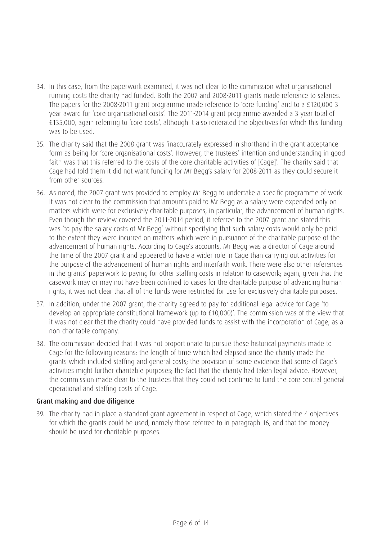- 34. In this case, from the paperwork examined, it was not clear to the commission what organisational running costs the charity had funded. Both the 2007 and 2008-2011 grants made reference to salaries. The papers for the 2008-2011 grant programme made reference to 'core funding' and to a £120,000 3 year award for 'core organisational costs'. The 2011-2014 grant programme awarded a 3 year total of £135,000, again referring to 'core costs', although it also reiterated the objectives for which this funding was to be used.
- 35. The charity said that the 2008 grant was 'inaccurately expressed in shorthand in the grant acceptance form as being for 'core organisational costs'. However, the trustees' intention and understanding in good faith was that this referred to the costs of the core charitable activities of [Cage]'. The charity said that Cage had told them it did not want funding for Mr Begg's salary for 2008-2011 as they could secure it from other sources.
- 36. As noted, the 2007 grant was provided to employ Mr Begg to undertake a specific programme of work. It was not clear to the commission that amounts paid to Mr Begg as a salary were expended only on matters which were for exclusively charitable purposes, in particular, the advancement of human rights. Even though the review covered the 2011-2014 period, it referred to the 2007 grant and stated this was 'to pay the salary costs of Mr Begg' without specifying that such salary costs would only be paid to the extent they were incurred on matters which were in pursuance of the charitable purpose of the advancement of human rights. According to Cage's accounts, Mr Begg was a director of Cage around the time of the 2007 grant and appeared to have a wider role in Cage than carrying out activities for the purpose of the advancement of human rights and interfaith work. There were also other references in the grants' paperwork to paying for other staffing costs in relation to casework; again, given that the casework may or may not have been confined to cases for the charitable purpose of advancing human rights, it was not clear that all of the funds were restricted for use for exclusively charitable purposes.
- 37. In addition, under the 2007 grant, the charity agreed to pay for additional legal advice for Cage 'to develop an appropriate constitutional framework (up to £10,000)'. The commission was of the view that it was not clear that the charity could have provided funds to assist with the incorporation of Cage, as a non-charitable company.
- 38. The commission decided that it was not proportionate to pursue these historical payments made to Cage for the following reasons: the length of time which had elapsed since the charity made the grants which included staffing and general costs; the provision of some evidence that some of Cage's activities might further charitable purposes; the fact that the charity had taken legal advice. However, the commission made clear to the trustees that they could not continue to fund the core central general operational and staffing costs of Cage.

#### Grant making and due diligence

39. The charity had in place a standard grant agreement in respect of Cage, which stated the 4 objectives for which the grants could be used, namely those referred to in paragraph 16, and that the money should be used for charitable purposes.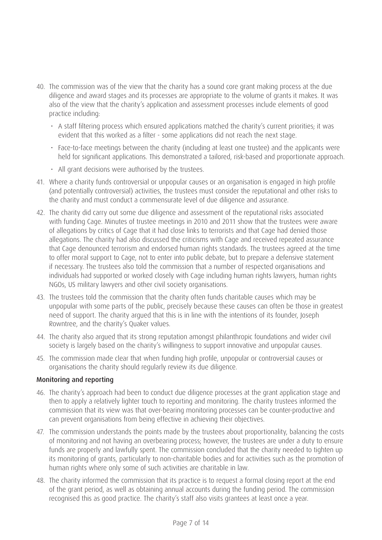- 40. The commission was of the view that the charity has a sound core grant making process at the due diligence and award stages and its processes are appropriate to the volume of grants it makes. It was also of the view that the charity's application and assessment processes include elements of good practice including:
	- A staff filtering process which ensured applications matched the charity's current priorities; it was evident that this worked as a filter - some applications did not reach the next stage.
	- Face-to-face meetings between the charity (including at least one trustee) and the applicants were held for significant applications. This demonstrated a tailored, risk-based and proportionate approach.
	- All grant decisions were authorised by the trustees.
- 41. Where a charity funds controversial or unpopular causes or an organisation is engaged in high profile (and potentially controversial) activities, the trustees must consider the reputational and other risks to the charity and must conduct a commensurate level of due diligence and assurance.
- 42. The charity did carry out some due diligence and assessment of the reputational risks associated with funding Cage. Minutes of trustee meetings in 2010 and 2011 show that the trustees were aware of allegations by critics of Cage that it had close links to terrorists and that Cage had denied those allegations. The charity had also discussed the criticisms with Cage and received repeated assurance that Cage denounced terrorism and endorsed human rights standards. The trustees agreed at the time to offer moral support to Cage, not to enter into public debate, but to prepare a defensive statement if necessary. The trustees also told the commission that a number of respected organisations and individuals had supported or worked closely with Cage including human rights lawyers, human rights NGOs, US military lawyers and other civil society organisations.
- 43. The trustees told the commission that the charity often funds charitable causes which may be unpopular with some parts of the public, precisely because these causes can often be those in greatest need of support. The charity argued that this is in line with the intentions of its founder, Joseph Rowntree, and the charity's Quaker values.
- 44. The charity also argued that its strong reputation amongst philanthropic foundations and wider civil society is largely based on the charity's willingness to support innovative and unpopular causes.
- 45. The commission made clear that when funding high profile, unpopular or controversial causes or organisations the charity should regularly review its due diligence.

#### Monitoring and reporting

- 46. The charity's approach had been to conduct due diligence processes at the grant application stage and then to apply a relatively lighter touch to reporting and monitoring. The charity trustees informed the commission that its view was that over-bearing monitoring processes can be counter-productive and can prevent organisations from being effective in achieving their objectives.
- 47. The commission understands the points made by the trustees about proportionality, balancing the costs of monitoring and not having an overbearing process; however, the trustees are under a duty to ensure funds are properly and lawfully spent. The commission concluded that the charity needed to tighten up its monitoring of grants, particularly to non-charitable bodies and for activities such as the promotion of human rights where only some of such activities are charitable in law.
- 48. The charity informed the commission that its practice is to request a formal closing report at the end of the grant period, as well as obtaining annual accounts during the funding period. The commission recognised this as good practice. The charity's staff also visits grantees at least once a year.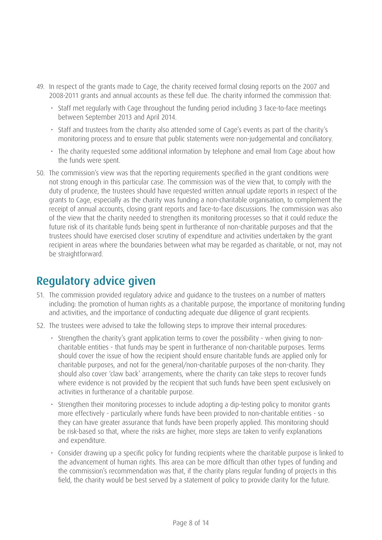- 49. In respect of the grants made to Cage, the charity received formal closing reports on the 2007 and 2008-2011 grants and annual accounts as these fell due. The charity informed the commission that:
	- Staff met regularly with Cage throughout the funding period including 3 face-to-face meetings between September 2013 and April 2014.
	- Staff and trustees from the charity also attended some of Cage's events as part of the charity's monitoring process and to ensure that public statements were non-judgemental and conciliatory.
	- The charity requested some additional information by telephone and email from Cage about how the funds were spent.
- 50. The commission's view was that the reporting requirements specified in the grant conditions were not strong enough in this particular case. The commission was of the view that, to comply with the duty of prudence, the trustees should have requested written annual update reports in respect of the grants to Cage, especially as the charity was funding a non-charitable organisation, to complement the receipt of annual accounts, closing grant reports and face-to-face discussions. The commission was also of the view that the charity needed to strengthen its monitoring processes so that it could reduce the future risk of its charitable funds being spent in furtherance of non-charitable purposes and that the trustees should have exercised closer scrutiny of expenditure and activities undertaken by the grant recipient in areas where the boundaries between what may be regarded as charitable, or not, may not be straightforward.

# Regulatory advice given

- 51. The commission provided regulatory advice and guidance to the trustees on a number of matters including: the promotion of human rights as a charitable purpose, the importance of monitoring funding and activities, and the importance of conducting adequate due diligence of grant recipients.
- 52. The trustees were advised to take the following steps to improve their internal procedures:
	- Strengthen the charity's grant application terms to cover the possibility when giving to noncharitable entities - that funds may be spent in furtherance of non-charitable purposes. Terms should cover the issue of how the recipient should ensure charitable funds are applied only for charitable purposes, and not for the general/non-charitable purposes of the non-charity. They should also cover 'claw back' arrangements, where the charity can take steps to recover funds where evidence is not provided by the recipient that such funds have been spent exclusively on activities in furtherance of a charitable purpose.
	- Strengthen their monitoring processes to include adopting a dip-testing policy to monitor grants more effectively - particularly where funds have been provided to non-charitable entities - so they can have greater assurance that funds have been properly applied. This monitoring should be risk-based so that, where the risks are higher, more steps are taken to verify explanations and expenditure.
	- Consider drawing up a specific policy for funding recipients where the charitable purpose is linked to the advancement of human rights. This area can be more difficult than other types of funding and the commission's recommendation was that, if the charity plans regular funding of projects in this field, the charity would be best served by a statement of policy to provide clarity for the future.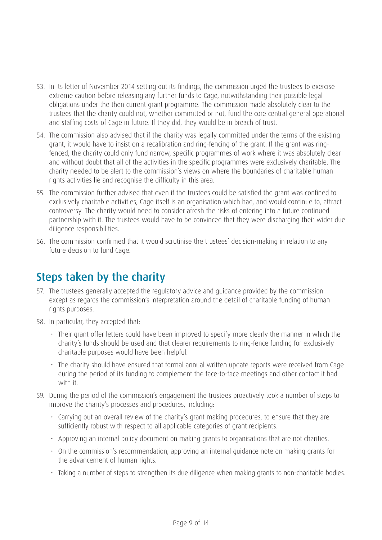- 53. In its letter of November 2014 setting out its findings, the commission urged the trustees to exercise extreme caution before releasing any further funds to Cage, notwithstanding their possible legal obligations under the then current grant programme. The commission made absolutely clear to the trustees that the charity could not, whether committed or not, fund the core central general operational and staffing costs of Cage in future. If they did, they would be in breach of trust.
- 54. The commission also advised that if the charity was legally committed under the terms of the existing grant, it would have to insist on a recalibration and ring-fencing of the grant. If the grant was ringfenced, the charity could only fund narrow, specific programmes of work where it was absolutely clear and without doubt that all of the activities in the specific programmes were exclusively charitable. The charity needed to be alert to the commission's views on where the boundaries of charitable human rights activities lie and recognise the difficulty in this area.
- 55. The commission further advised that even if the trustees could be satisfied the grant was confined to exclusively charitable activities, Cage itself is an organisation which had, and would continue to, attract controversy. The charity would need to consider afresh the risks of entering into a future continued partnership with it. The trustees would have to be convinced that they were discharging their wider due diligence responsibilities.
- 56. The commission confirmed that it would scrutinise the trustees' decision-making in relation to any future decision to fund Cage.

# Steps taken by the charity

- 57. The trustees generally accepted the regulatory advice and guidance provided by the commission except as regards the commission's interpretation around the detail of charitable funding of human rights purposes.
- 58. In particular, they accepted that:
	- Their grant offer letters could have been improved to specify more clearly the manner in which the charity's funds should be used and that clearer requirements to ring-fence funding for exclusively charitable purposes would have been helpful.
	- The charity should have ensured that formal annual written update reports were received from Cage during the period of its funding to complement the face-to-face meetings and other contact it had with it.
- 59. During the period of the commission's engagement the trustees proactively took a number of steps to improve the charity's processes and procedures, including:
	- Carrying out an overall review of the charity's grant-making procedures, to ensure that they are sufficiently robust with respect to all applicable categories of grant recipients.
	- Approving an internal policy document on making grants to organisations that are not charities.
	- On the commission's recommendation, approving an internal guidance note on making grants for the advancement of human rights.
	- Taking a number of steps to strengthen its due diligence when making grants to non-charitable bodies.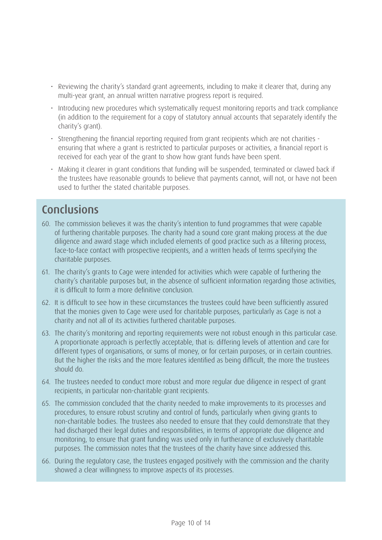- Reviewing the charity's standard grant agreements, including to make it clearer that, during any multi-year grant, an annual written narrative progress report is required.
- Introducing new procedures which systematically request monitoring reports and track compliance (in addition to the requirement for a copy of statutory annual accounts that separately identify the charity's grant).
- Strengthening the financial reporting required from grant recipients which are not charities ensuring that where a grant is restricted to particular purposes or activities, a financial report is received for each year of the grant to show how grant funds have been spent.
- Making it clearer in grant conditions that funding will be suspended, terminated or clawed back if the trustees have reasonable grounds to believe that payments cannot, will not, or have not been used to further the stated charitable purposes.

# Conclusions

- 60. The commission believes it was the charity's intention to fund programmes that were capable of furthering charitable purposes. The charity had a sound core grant making process at the due diligence and award stage which included elements of good practice such as a filtering process, face-to-face contact with prospective recipients, and a written heads of terms specifying the charitable purposes.
- 61. The charity's grants to Cage were intended for activities which were capable of furthering the charity's charitable purposes but, in the absence of sufficient information regarding those activities, it is difficult to form a more definitive conclusion.
- 62. It is difficult to see how in these circumstances the trustees could have been sufficiently assured that the monies given to Cage were used for charitable purposes, particularly as Cage is not a charity and not all of its activities furthered charitable purposes.
- 63. The charity's monitoring and reporting requirements were not robust enough in this particular case. A proportionate approach is perfectly acceptable, that is: differing levels of attention and care for different types of organisations, or sums of money, or for certain purposes, or in certain countries. But the higher the risks and the more features identified as being difficult, the more the trustees should do.
- 64. The trustees needed to conduct more robust and more regular due diligence in respect of grant recipients, in particular non-charitable grant recipients.
- 65. The commission concluded that the charity needed to make improvements to its processes and procedures, to ensure robust scrutiny and control of funds, particularly when giving grants to non-charitable bodies. The trustees also needed to ensure that they could demonstrate that they had discharged their legal duties and responsibilities, in terms of appropriate due diligence and monitoring, to ensure that grant funding was used only in furtherance of exclusively charitable purposes. The commission notes that the trustees of the charity have since addressed this.
- 66. During the regulatory case, the trustees engaged positively with the commission and the charity showed a clear willingness to improve aspects of its processes.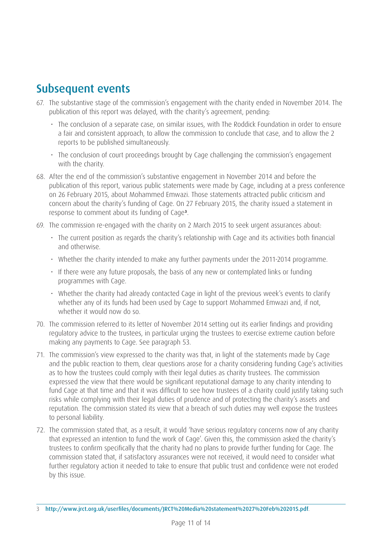### Subsequent events

- 67. The substantive stage of the commission's engagement with the charity ended in November 2014. The publication of this report was delayed, with the charity's agreement, pending:
	- The conclusion of a separate case, on similar issues, with The Roddick Foundation in order to ensure a fair and consistent approach, to allow the commission to conclude that case, and to allow the 2 reports to be published simultaneously.
	- The conclusion of court proceedings brought by Cage challenging the commission's engagement with the charity.
- 68. After the end of the commission's substantive engagement in November 2014 and before the publication of this report, various public statements were made by Cage, including at a press conference on 26 February 2015, about Mohammed Emwazi. Those statements attracted public criticism and concern about the charity's funding of Cage. On 27 February 2015, the charity issued a statement in response to comment about its funding of Cage**3**.
- 69. The commission re-engaged with the charity on 2 March 2015 to seek urgent assurances about:
	- The current position as regards the charity's relationship with Cage and its activities both financial and otherwise.
	- Whether the charity intended to make any further payments under the 2011-2014 programme.
	- If there were any future proposals, the basis of any new or contemplated links or funding programmes with Cage.
	- Whether the charity had already contacted Cage in light of the previous week's events to clarify whether any of its funds had been used by Cage to support Mohammed Emwazi and, if not, whether it would now do so.
- 70. The commission referred to its letter of November 2014 setting out its earlier findings and providing regulatory advice to the trustees, in particular urging the trustees to exercise extreme caution before making any payments to Cage. See paragraph 53.
- 71. The commission's view expressed to the charity was that, in light of the statements made by Cage and the public reaction to them, clear questions arose for a charity considering funding Cage's activities as to how the trustees could comply with their legal duties as charity trustees. The commission expressed the view that there would be significant reputational damage to any charity intending to fund Cage at that time and that it was difficult to see how trustees of a charity could justify taking such risks while complying with their legal duties of prudence and of protecting the charity's assets and reputation. The commission stated its view that a breach of such duties may well expose the trustees to personal liability.
- 72. The commission stated that, as a result, it would 'have serious regulatory concerns now of any charity that expressed an intention to fund the work of Cage'. Given this, the commission asked the charity's trustees to confirm specifically that the charity had no plans to provide further funding for Cage. The commission stated that, if satisfactory assurances were not received, it would need to consider what further regulatory action it needed to take to ensure that public trust and confidence were not eroded by this issue.

<sup>3</sup> <http://www.jrct.org.uk/userfiles/documents/JRCT%20Media%20statement%2027%20Feb%202015.pdf>.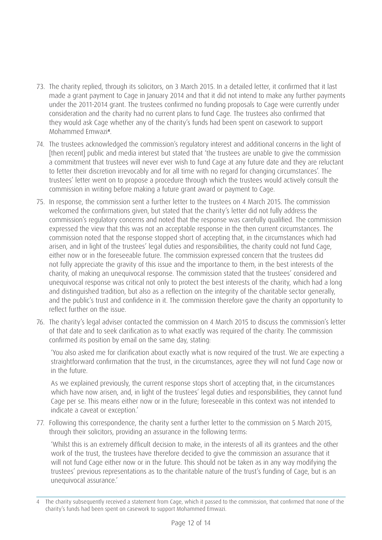- 73. The charity replied, through its solicitors, on 3 March 2015. In a detailed letter, it confirmed that it last made a grant payment to Cage in January 2014 and that it did not intend to make any further payments under the 2011-2014 grant. The trustees confirmed no funding proposals to Cage were currently under consideration and the charity had no current plans to fund Cage. The trustees also confirmed that they would ask Cage whether any of the charity's funds had been spent on casework to support Mohammed Emwazi**4**.
- 74. The trustees acknowledged the commission's regulatory interest and additional concerns in the light of [then recent] public and media interest but stated that 'the trustees are unable to give the commission a commitment that trustees will never ever wish to fund Cage at any future date and they are reluctant to fetter their discretion irrevocably and for all time with no regard for changing circumstances'. The trustees' letter went on to propose a procedure through which the trustees would actively consult the commission in writing before making a future grant award or payment to Cage.
- 75. In response, the commission sent a further letter to the trustees on 4 March 2015. The commission welcomed the confirmations given, but stated that the charity's letter did not fully address the commission's regulatory concerns and noted that the response was carefully qualified. The commission expressed the view that this was not an acceptable response in the then current circumstances. The commission noted that the response stopped short of accepting that, in the circumstances which had arisen, and in light of the trustees' legal duties and responsibilities, the charity could not fund Cage, either now or in the foreseeable future. The commission expressed concern that the trustees did not fully appreciate the gravity of this issue and the importance to them, in the best interests of the charity, of making an unequivocal response. The commission stated that the trustees' considered and unequivocal response was critical not only to protect the best interests of the charity, which had a long and distinguished tradition, but also as a reflection on the integrity of the charitable sector generally, and the public's trust and confidence in it. The commission therefore gave the charity an opportunity to reflect further on the issue.
- 76. The charity's legal adviser contacted the commission on 4 March 2015 to discuss the commission's letter of that date and to seek clarification as to what exactly was required of the charity. The commission confirmed its position by email on the same day, stating:

'You also asked me for clarification about exactly what is now required of the trust. We are expecting a straightforward confirmation that the trust, in the circumstances, agree they will not fund Cage now or in the future.

As we explained previously, the current response stops short of accepting that, in the circumstances which have now arisen, and, in light of the trustees' legal duties and responsibilities, they cannot fund Cage per se. This means either now or in the future; foreseeable in this context was not intended to indicate a caveat or exception.'

77. Following this correspondence, the charity sent a further letter to the commission on 5 March 2015, through their solicitors, providing an assurance in the following terms:

'Whilst this is an extremely difficult decision to make, in the interests of all its grantees and the other work of the trust, the trustees have therefore decided to give the commission an assurance that it will not fund Cage either now or in the future. This should not be taken as in any way modifying the trustees' previous representations as to the charitable nature of the trust's funding of Cage, but is an unequivocal assurance.'

<sup>4</sup> The charity subsequently received a statement from Cage, which it passed to the commission, that confirmed that none of the charity's funds had been spent on casework to support Mohammed Emwazi.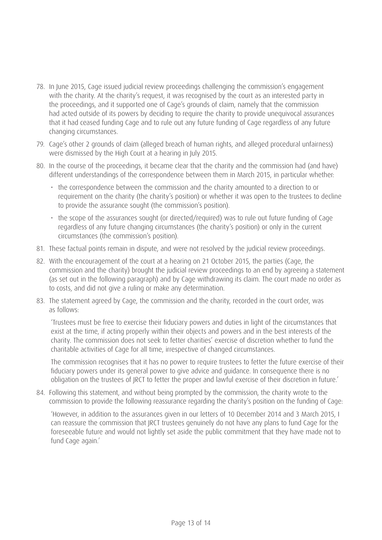- 78. In June 2015, Cage issued judicial review proceedings challenging the commission's engagement with the charity. At the charity's request, it was recognised by the court as an interested party in the proceedings, and it supported one of Cage's grounds of claim, namely that the commission had acted outside of its powers by deciding to require the charity to provide unequivocal assurances that it had ceased funding Cage and to rule out any future funding of Cage regardless of any future changing circumstances.
- 79. Cage's other 2 grounds of claim (alleged breach of human rights, and alleged procedural unfairness) were dismissed by the High Court at a hearing in July 2015.
- 80. In the course of the proceedings, it became clear that the charity and the commission had (and have) different understandings of the correspondence between them in March 2015, in particular whether:
	- the correspondence between the commission and the charity amounted to a direction to or requirement on the charity (the charity's position) or whether it was open to the trustees to decline to provide the assurance sought (the commission's position).
	- the scope of the assurances sought (or directed/required) was to rule out future funding of Cage regardless of any future changing circumstances (the charity's position) or only in the current circumstances (the commission's position).
- 81. These factual points remain in dispute, and were not resolved by the judicial review proceedings.
- 82. With the encouragement of the court at a hearing on 21 October 2015, the parties (Cage, the commission and the charity) brought the judicial review proceedings to an end by agreeing a statement (as set out in the following paragraph) and by Cage withdrawing its claim. The court made no order as to costs, and did not give a ruling or make any determination.
- 83. The statement agreed by Cage, the commission and the charity, recorded in the court order, was as follows:

'Trustees must be free to exercise their fiduciary powers and duties in light of the circumstances that exist at the time, if acting properly within their objects and powers and in the best interests of the charity. The commission does not seek to fetter charities' exercise of discretion whether to fund the charitable activities of Cage for all time, irrespective of changed circumstances.

The commission recognises that it has no power to require trustees to fetter the future exercise of their fiduciary powers under its general power to give advice and guidance. In consequence there is no obligation on the trustees of JRCT to fetter the proper and lawful exercise of their discretion in future.'

84. Following this statement, and without being prompted by the commission, the charity wrote to the commission to provide the following reassurance regarding the charity's position on the funding of Cage:

'However, in addition to the assurances given in our letters of 10 December 2014 and 3 March 2015, I can reassure the commission that JRCT trustees genuinely do not have any plans to fund Cage for the foreseeable future and would not lightly set aside the public commitment that they have made not to fund Cage again.'